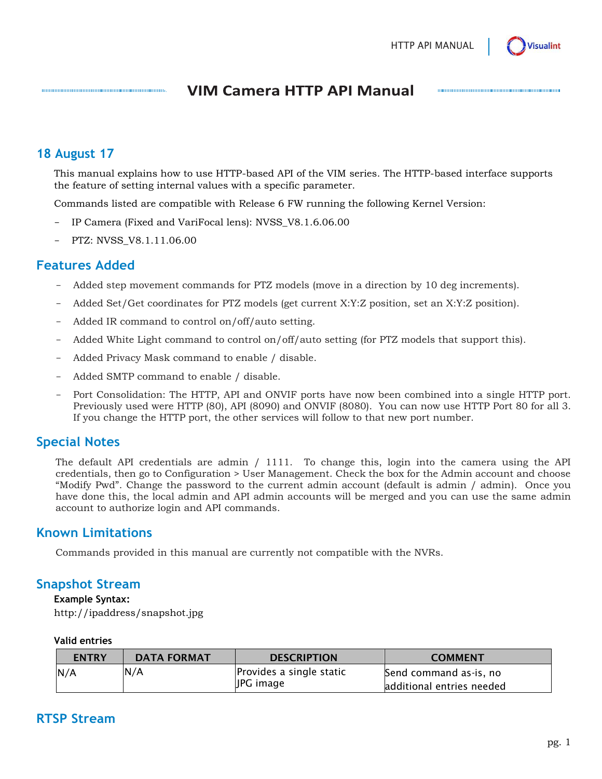

# **VIM Camera HTTP API Manual**

### **18 August 17**

This manual explains how to use HTTP-based API of the VIM series. The HTTP-based interface supports the feature of setting internal values with a specific parameter.

Commands listed are compatible with Release 6 FW running the following Kernel Version:

- IP Camera (Fixed and VariFocal lens): NVSS\_V8.1.6.06.00
- PTZ: NVSS\_V8.1.11.06.00

00000000000000000000000000000000000000

### **Features Added**

- Added step movement commands for PTZ models (move in a direction by 10 deg increments).
- Added Set/Get coordinates for PTZ models (get current X:Y:Z position, set an X:Y:Z position).
- Added IR command to control on/off/auto setting.
- Added White Light command to control on/off/auto setting (for PTZ models that support this).
- Added Privacy Mask command to enable / disable.
- Added SMTP command to enable / disable.
- Port Consolidation: The HTTP, API and ONVIF ports have now been combined into a single HTTP port. Previously used were HTTP (80), API (8090) and ONVIF (8080). You can now use HTTP Port 80 for all 3. If you change the HTTP port, the other services will follow to that new port number.

# **Special Notes**

The default API credentials are admin / 1111. To change this, login into the camera using the API credentials, then go to Configuration > User Management. Check the box for the Admin account and choose "Modify Pwd". Change the password to the current admin account (default is admin / admin). Once you have done this, the local admin and API admin accounts will be merged and you can use the same admin account to authorize login and API commands.

## **Known Limitations**

Commands provided in this manual are currently not compatible with the NVRs.

## **Snapshot Stream**

#### **Example Syntax:**

http://ipaddress/snapshot.jpg

#### **Valid entries**

| <b>ENTRY</b> | <b>DATA FORMAT</b> | <b>DESCRIPTION</b>                    | <b>COMMENT</b>                                      |
|--------------|--------------------|---------------------------------------|-----------------------------------------------------|
| N/A          | N/A                | Provides a single static<br>JPG image | Send command as-is, no<br>additional entries needed |

# **RTSP Stream**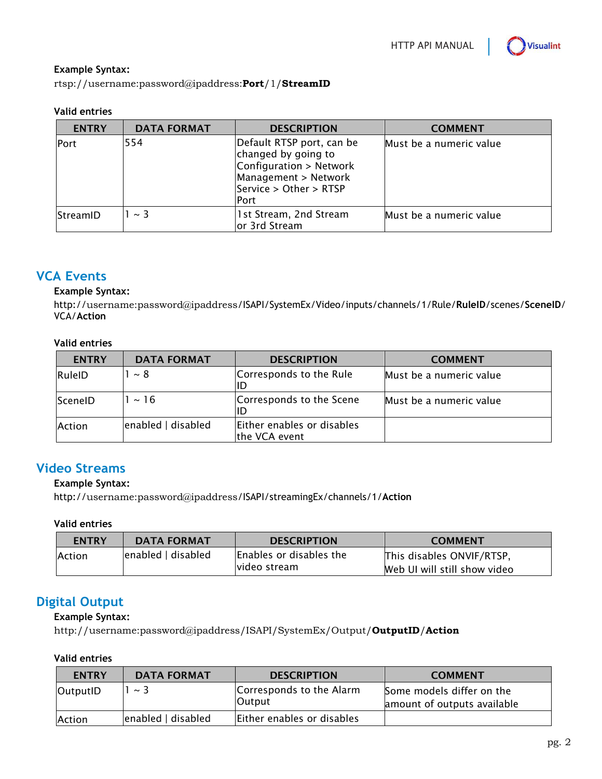

#### **Example Syntax:**

rtsp://username:password@ipaddress:**Port**/1/**StreamID**

#### **Valid entries**

| <b>ENTRY</b>    | <b>DATA FORMAT</b> | <b>DESCRIPTION</b>                                                                                                                    | <b>COMMENT</b>          |
|-----------------|--------------------|---------------------------------------------------------------------------------------------------------------------------------------|-------------------------|
| Port            | 554                | Default RTSP port, can be<br>changed by going to<br>Configuration > Network<br>Management > Network<br>Service > Other > RTSP<br>Port | Must be a numeric value |
| <b>StreamID</b> | $\sim$ 3           | 1st Stream, 2nd Stream<br>or 3rd Stream                                                                                               | Must be a numeric value |

## **VCA Events**

#### **Example Syntax:**

http://username:password@ipaddress/ISAPI/SystemEx/Video/inputs/channels/1/Rule/**RuleID**/scenes/**SceneID**/ VCA/**Action**

#### **Valid entries**

| <b>ENTRY</b> | <b>DATA FORMAT</b> | <b>DESCRIPTION</b>                          | <b>COMMENT</b>          |
|--------------|--------------------|---------------------------------------------|-------------------------|
| RuleID       | $\sim 8$           | Corresponds to the Rule<br>IID              | Must be a numeric value |
| ScenelD      | $\sim$ 16          | Corresponds to the Scene<br>IID             | Must be a numeric value |
| Action       | enabled   disabled | Either enables or disables<br>the VCA event |                         |

## **Video Streams**

#### **Example Syntax:**

http://username:password@ipaddress/ISAPI/streamingEx/channels/1/**Action**

#### **Valid entries**

| <b>ENTRY</b>  | <b>DATA FORMAT</b> | <b>DESCRIPTION</b>                       | <b>COMMENT</b>                                            |
|---------------|--------------------|------------------------------------------|-----------------------------------------------------------|
| <b>Action</b> | enabled   disabled | Enables or disables the<br>lvideo stream | This disables ONVIF/RTSP,<br>Web UI will still show video |

# **Digital Output**

#### **Example Syntax:**

http://username:password@ipaddress/ISAPI/SystemEx/Output/**OutputID**/**Action**

#### **Valid entries**

| <b>ENTRY</b>  | <b>DATA FORMAT</b> | <b>DESCRIPTION</b>                 | <b>COMMENT</b>                                           |
|---------------|--------------------|------------------------------------|----------------------------------------------------------|
| OutputID      | $\sim$ 3           | Corresponds to the Alarm<br>Output | Some models differ on the<br>amount of outputs available |
| <b>Action</b> | enabled   disabled | Either enables or disables         |                                                          |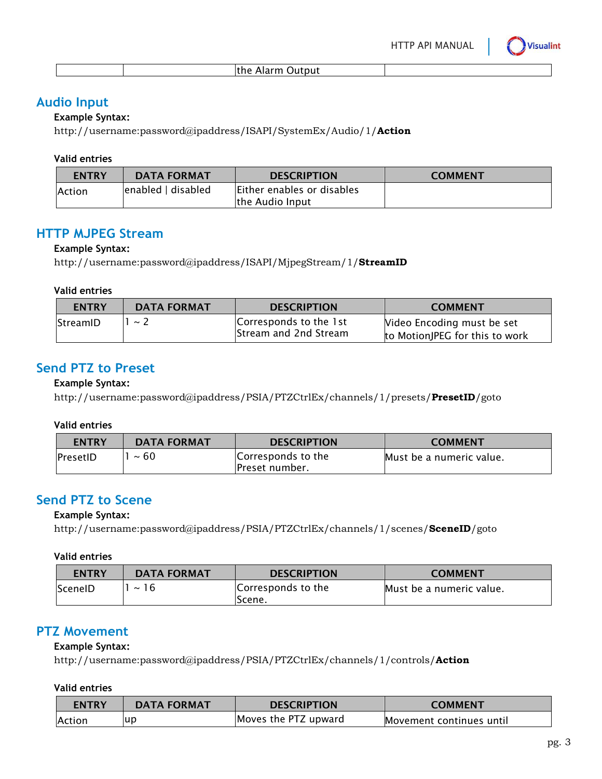

|  | the Alarm Output |
|--|------------------|
|--|------------------|

## **Audio Input**

### **Example Syntax:**

http://username:password@ipaddress/ISAPI/SystemEx/Audio/1/**Action**

### **Valid entries**

| <b>ENTRY</b>  | <b>DATA FORMAT</b>  | <b>DESCRIPTION</b>         | <b>COMMENT</b> |
|---------------|---------------------|----------------------------|----------------|
| <b>Action</b> | lenabled I disabled | Either enables or disables |                |
|               |                     | the Audio Input            |                |

# **HTTP MJPEG Stream**

### **Example Syntax:**

http://username:password@ipaddress/ISAPI/MjpegStream/1/**StreamID**

### **Valid entries**

| <b>ENTRY</b> | <b>DATA FORMAT</b> | <b>DESCRIPTION</b>                              | <b>COMMENT</b>                                               |
|--------------|--------------------|-------------------------------------------------|--------------------------------------------------------------|
| StreamID     | $\sim$ /           | Corresponds to the 1st<br>Stream and 2nd Stream | Video Encoding must be set<br>to MotionJPEG for this to work |

# **Send PTZ to Preset**

### **Example Syntax:**

http://username:password@ipaddress/PSIA/PTZCtrlEx/channels/1/presets/**PresetID**/goto

### **Valid entries**

| <b>ENTRY</b>     | <b>DATA FORMAT</b> | <b>DESCRIPTION</b>                    | <b>COMMENT</b>           |
|------------------|--------------------|---------------------------------------|--------------------------|
| <b>IPresetID</b> | $~\sim 60$         | Corresponds to the<br>IPreset number. | Must be a numeric value. |

# **Send PTZ to Scene**

### **Example Syntax:**

http://username:password@ipaddress/PSIA/PTZCtrlEx/channels/1/scenes/**SceneID**/goto

### **Valid entries**

| <b>ENTRY</b>   | <b>DATA FORMAT</b> | <b>DESCRIPTION</b>           | <b>COMMENT</b>           |
|----------------|--------------------|------------------------------|--------------------------|
| <b>SceneID</b> | 16<br>$\sim$       | Corresponds to the<br>Scene. | Must be a numeric value. |

# **PTZ Movement**

## **Example Syntax:**

http://username:password@ipaddress/PSIA/PTZCtrlEx/channels/1/controls/**Action**

### **Valid entries**

| <b>ENTRY</b>  | <b>DATA FORMAT</b> | <b>DESCRIPTION</b>   | COMMENT                  |
|---------------|--------------------|----------------------|--------------------------|
| <b>Action</b> | ur                 | Moves the PTZ upward | Movement continues until |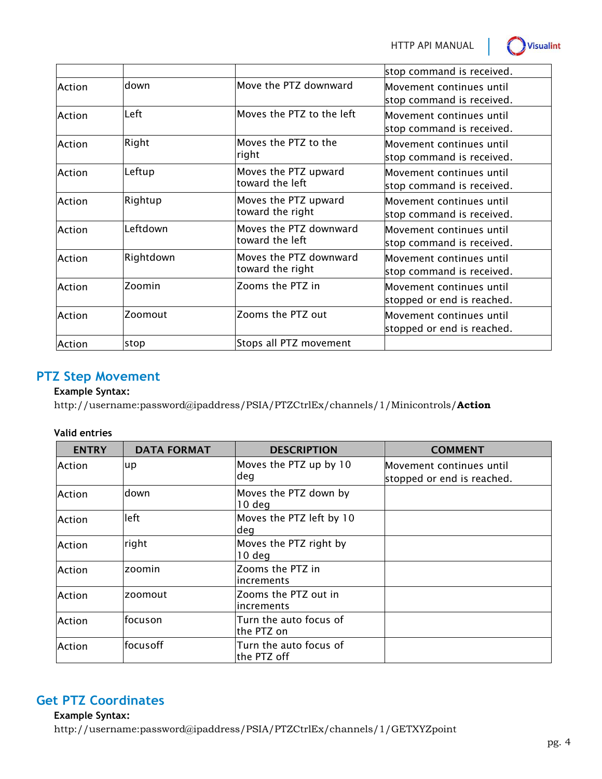HTTP API MANUAL



|        |           |                                            | stop command is received.                              |
|--------|-----------|--------------------------------------------|--------------------------------------------------------|
| Action | down      | Move the PTZ downward                      | Movement continues until<br>stop command is received.  |
| Action | Left      | Moves the PTZ to the left                  | Movement continues until<br>stop command is received.  |
| Action | Right     | Moves the PTZ to the<br>right              | Movement continues until<br>stop command is received.  |
| Action | Leftup    | Moves the PTZ upward<br>toward the left    | Movement continues until<br>stop command is received.  |
| Action | Rightup   | Moves the PTZ upward<br>toward the right   | Movement continues until<br>stop command is received.  |
| Action | Leftdown  | Moves the PTZ downward<br>toward the left  | Movement continues until<br>stop command is received.  |
| Action | Rightdown | Moves the PTZ downward<br>toward the right | Movement continues until<br>stop command is received.  |
| Action | Zoomin    | Zooms the PTZ in                           | Movement continues until<br>stopped or end is reached. |
| Action | Zoomout   | Zooms the PTZ out                          | Movement continues until<br>stopped or end is reached. |
| Action | stop      | Stops all PTZ movement                     |                                                        |

# **PTZ Step Movement**

### **Example Syntax:**

http://username:password@ipaddress/PSIA/PTZCtrlEx/channels/1/Minicontrols/**Action**

### **Valid entries**

| <b>ENTRY</b> | <b>DATA FORMAT</b> | <b>DESCRIPTION</b>                    | <b>COMMENT</b>                                         |
|--------------|--------------------|---------------------------------------|--------------------------------------------------------|
| Action       | up                 | Moves the PTZ up by 10<br>deg         | Movement continues until<br>stopped or end is reached. |
| Action       | down               | Moves the PTZ down by<br>$10$ deg     |                                                        |
| Action       | left               | Moves the PTZ left by 10<br>ldeg      |                                                        |
| Action       | right              | Moves the PTZ right by<br>$10$ deg    |                                                        |
| Action       | zoomin             | Zooms the PTZ in<br>increments        |                                                        |
| Action       | zoomout            | Zooms the PTZ out in<br>increments    |                                                        |
| Action       | focuson            | Turn the auto focus of<br>lthe PTZ on |                                                        |
| Action       | focusoff           | Turn the auto focus of<br>the PTZ off |                                                        |

# **Get PTZ Coordinates**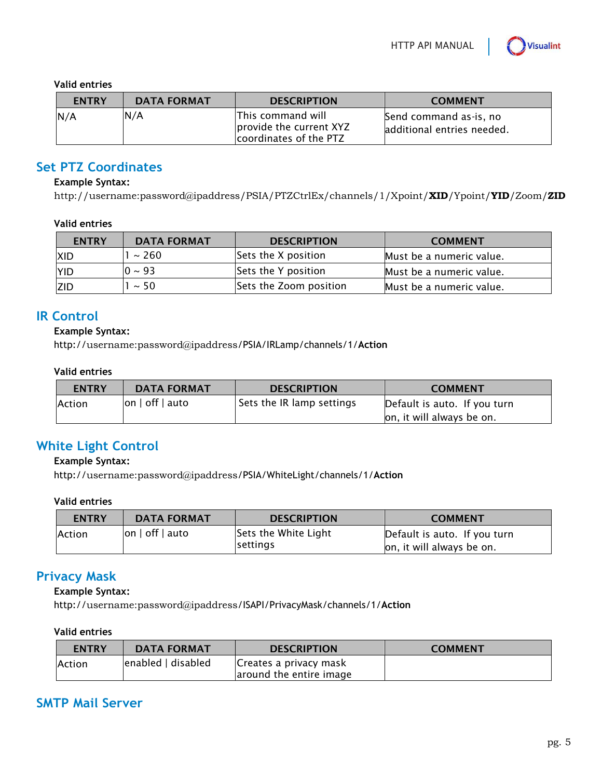#### **Valid entries**

| <b>ENTRY</b> | <b>DATA FORMAT</b> | <b>DESCRIPTION</b>                                                      | <b>COMMENT</b>                                        |
|--------------|--------------------|-------------------------------------------------------------------------|-------------------------------------------------------|
| N/A          | N/A                | lThis command will<br>provide the current XYZ<br>coordinates of the PTZ | Send command as-is, no<br>ladditional entries needed. |

## **Set PTZ Coordinates**

### **Example Syntax:**

http://username:password@ipaddress/PSIA/PTZCtrlEx/channels/1/Xpoint/**XID**/Ypoint/**YID**/Zoom/**ZID**

#### **Valid entries**

| <b>ENTRY</b> | <b>DATA FORMAT</b> | <b>DESCRIPTION</b>     | <b>COMMENT</b>           |
|--------------|--------------------|------------------------|--------------------------|
| <b>XID</b>   | $~\sim$ 260        | Sets the X position    | Must be a numeric value. |
| <b>YID</b>   | $0 \sim 93$        | Sets the Y position    | Must be a numeric value. |
| <b>ZID</b>   | $\sim$ 50          | Sets the Zoom position | Must be a numeric value. |

## **IR Control**

### **Example Syntax:**

http://username:password@ipaddress/PSIA/IRLamp/channels/1/**Action**

#### **Valid entries**

| <b>ENTRY</b>  | <b>DATA FORMAT</b> | <b>DESCRIPTION</b>        | <b>COMMENT</b>               |
|---------------|--------------------|---------------------------|------------------------------|
| <b>Action</b> | $ on $ off $ auto$ | Sets the IR lamp settings | Default is auto. If you turn |
|               |                    |                           | on, it will always be on.    |

# **White Light Control**

### **Example Syntax:**

http://username:password@ipaddress/PSIA/WhiteLight/channels/1/**Action**

### **Valid entries**

| <b>ENTRY</b> | <b>DATA FORMAT</b> | <b>DESCRIPTION</b>                      | <b>COMMENT</b>                                            |
|--------------|--------------------|-----------------------------------------|-----------------------------------------------------------|
| Action       | $ on $ off $ auto$ | Sets the White Light<br><b>settings</b> | Default is auto. If you turn<br>on, it will always be on. |

## **Privacy Mask**

### **Example Syntax:**

http://username:password@ipaddress/ISAPI/PrivacyMask/channels/1/**Action**

### **Valid entries**

| <b>ENTRY</b>   | <b>DATA FORMAT</b>  | <b>DESCRIPTION</b>      | <b>COMMENT</b> |
|----------------|---------------------|-------------------------|----------------|
| <b>IAction</b> | lenabled I disabled | Creates a privacy mask  |                |
|                |                     | around the entire image |                |

## **SMTP Mail Server**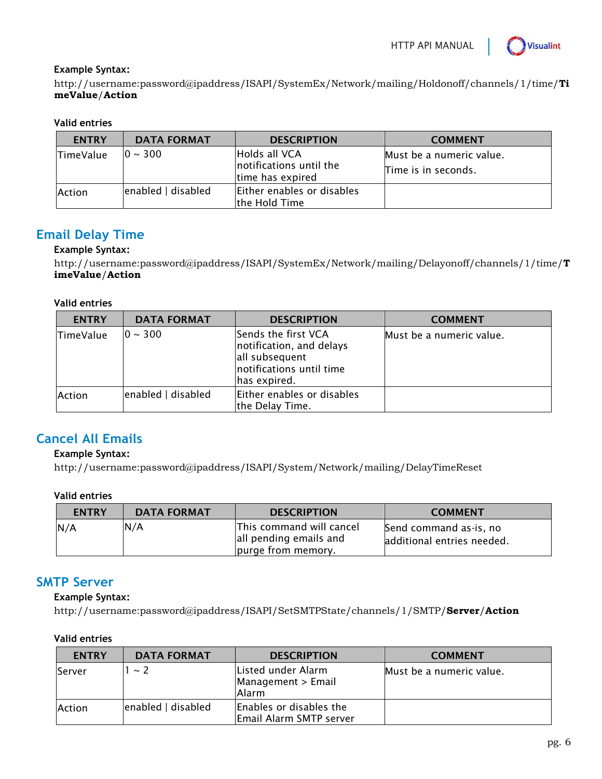

### **Example Syntax:**

http://username:password@ipaddress/ISAPI/SystemEx/Network/mailing/Holdonoff/channels/1/time/**Ti meValue**/**Action**

### **Valid entries**

| <b>ENTRY</b>     | <b>DATA FORMAT</b> | <b>DESCRIPTION</b>                                           | <b>COMMENT</b>                                  |
|------------------|--------------------|--------------------------------------------------------------|-------------------------------------------------|
| <b>TimeValue</b> | $10 \sim 300$      | Holds all VCA<br>notifications until the<br>time has expired | Must be a numeric value.<br>Time is in seconds. |
| Action           | enabled   disabled | Either enables or disables<br>the Hold Time                  |                                                 |

# **Email Delay Time**

### **Example Syntax:**

http://username:password@ipaddress/ISAPI/SystemEx/Network/mailing/Delayonoff/channels/1/time/**T imeValue**/**Action**

### **Valid entries**

| <b>ENTRY</b>     | <b>DATA FORMAT</b> | <b>DESCRIPTION</b>                                                                                            | <b>COMMENT</b>           |
|------------------|--------------------|---------------------------------------------------------------------------------------------------------------|--------------------------|
| <b>TimeValue</b> | $10 \sim 300$      | Sends the first VCA<br>notification, and delays<br>all subsequent<br>notifications until time<br>has expired. | Must be a numeric value. |
| Action           | enabled   disabled | Either enables or disables<br>the Delay Time.                                                                 |                          |

# **Cancel All Emails**

### **Example Syntax:**

http://username:password@ipaddress/ISAPI/System/Network/mailing/DelayTimeReset

### **Valid entries**

| <b>ENTRY</b> | <b>DATA FORMAT</b> | <b>DESCRIPTION</b>                                                       | <b>COMMENT</b>                                       |
|--------------|--------------------|--------------------------------------------------------------------------|------------------------------------------------------|
| N/A          | N/A                | This command will cancel<br>all pending emails and<br>purge from memory. | Send command as-is, no<br>additional entries needed. |

## **SMTP Server**

### **Example Syntax:**

http://username:password@ipaddress/ISAPI/SetSMTPState/channels/1/SMTP/**Server**/**Action**

### **Valid entries**

| <b>ENTRY</b> | <b>DATA FORMAT</b> | <b>DESCRIPTION</b>                                 | <b>COMMENT</b>           |
|--------------|--------------------|----------------------------------------------------|--------------------------|
| Server       | $\sim$ 2           | Listed under Alarm<br>Management > Email<br>Alarm  | Must be a numeric value. |
| Action       | enabled   disabled | Enables or disables the<br>Email Alarm SMTP server |                          |